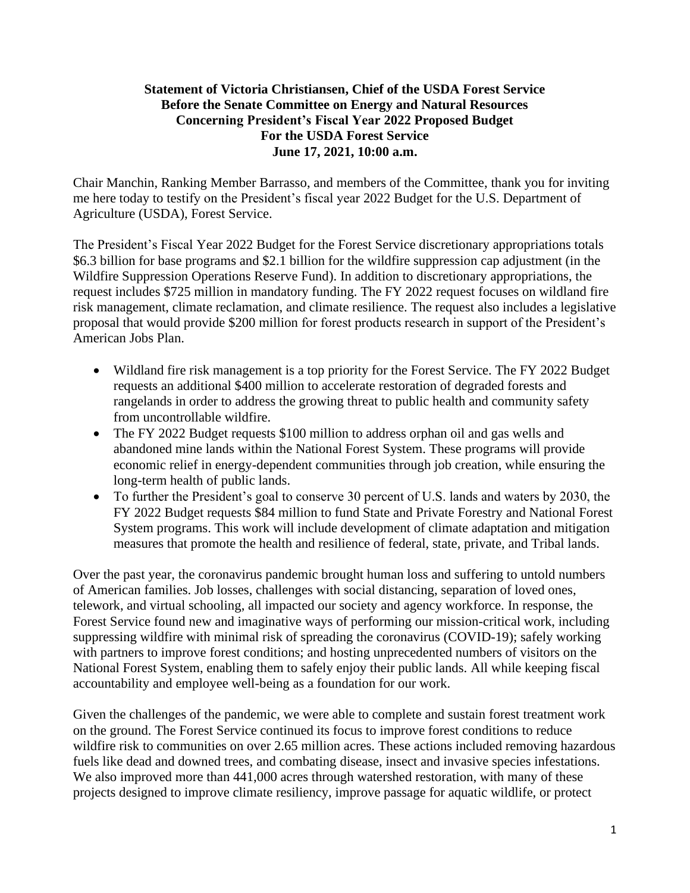# **Statement of Victoria Christiansen, Chief of the USDA Forest Service Before the Senate Committee on Energy and Natural Resources Concerning President's Fiscal Year 2022 Proposed Budget For the USDA Forest Service June 17, 2021, 10:00 a.m.**

Chair Manchin, Ranking Member Barrasso, and members of the Committee, thank you for inviting me here today to testify on the President's fiscal year 2022 Budget for the U.S. Department of Agriculture (USDA), Forest Service.

The President's Fiscal Year 2022 Budget for the Forest Service discretionary appropriations totals \$6.3 billion for base programs and \$2.1 billion for the wildfire suppression cap adjustment (in the Wildfire Suppression Operations Reserve Fund). In addition to discretionary appropriations, the request includes \$725 million in mandatory funding. The FY 2022 request focuses on wildland fire risk management, climate reclamation, and climate resilience. The request also includes a legislative proposal that would provide \$200 million for forest products research in support of the President's American Jobs Plan.

- Wildland fire risk management is a top priority for the Forest Service. The FY 2022 Budget requests an additional \$400 million to accelerate restoration of degraded forests and rangelands in order to address the growing threat to public health and community safety from uncontrollable wildfire.
- The FY 2022 Budget requests \$100 million to address orphan oil and gas wells and abandoned mine lands within the National Forest System. These programs will provide economic relief in energy-dependent communities through job creation, while ensuring the long-term health of public lands.
- To further the President's goal to conserve 30 percent of U.S. lands and waters by 2030, the FY 2022 Budget requests \$84 million to fund State and Private Forestry and National Forest System programs. This work will include development of climate adaptation and mitigation measures that promote the health and resilience of federal, state, private, and Tribal lands.

Over the past year, the coronavirus pandemic brought human loss and suffering to untold numbers of American families. Job losses, challenges with social distancing, separation of loved ones, telework, and virtual schooling, all impacted our society and agency workforce. In response, the Forest Service found new and imaginative ways of performing our mission-critical work, including suppressing wildfire with minimal risk of spreading the coronavirus (COVID-19); safely working with partners to improve forest conditions; and hosting unprecedented numbers of visitors on the National Forest System, enabling them to safely enjoy their public lands. All while keeping fiscal accountability and employee well-being as a foundation for our work.

Given the challenges of the pandemic, we were able to complete and sustain forest treatment work on the ground. The Forest Service continued its focus to improve forest conditions to reduce wildfire risk to communities on over 2.65 million acres. These actions included removing hazardous fuels like dead and downed trees, and combating disease, insect and invasive species infestations. We also improved more than 441,000 acres through watershed restoration, with many of these projects designed to improve climate resiliency, improve passage for aquatic wildlife, or protect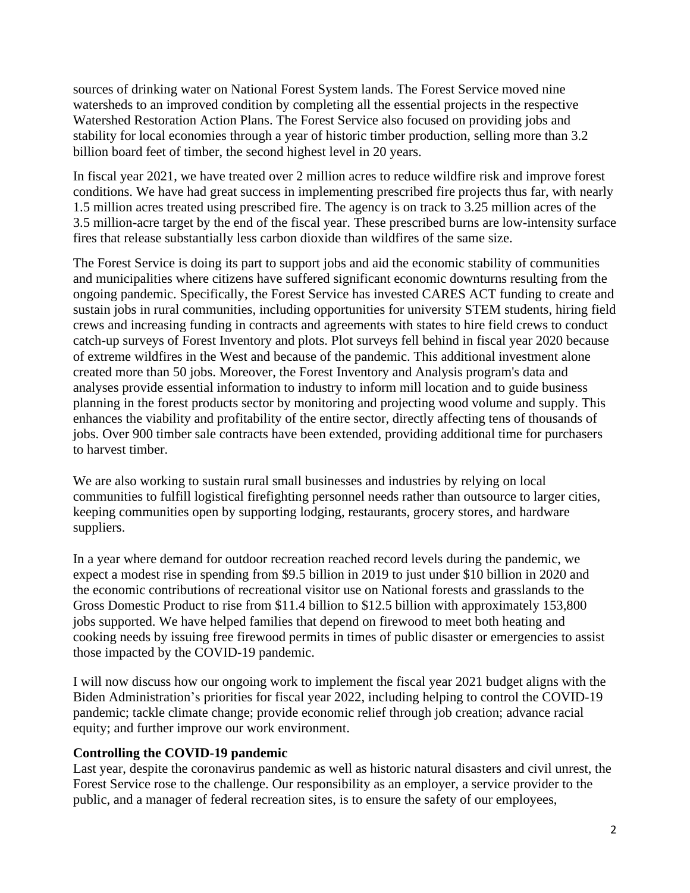sources of drinking water on National Forest System lands. The Forest Service moved nine watersheds to an improved condition by completing all the essential projects in the respective Watershed Restoration Action Plans. The Forest Service also focused on providing jobs and stability for local economies through a year of historic timber production, selling more than 3.2 billion board feet of timber, the second highest level in 20 years.

In fiscal year 2021, we have treated over 2 million acres to reduce wildfire risk and improve forest conditions. We have had great success in implementing prescribed fire projects thus far, with nearly 1.5 million acres treated using prescribed fire. The agency is on track to 3.25 million acres of the 3.5 million-acre target by the end of the fiscal year. These prescribed burns are low-intensity surface fires that release substantially less carbon dioxide than wildfires of the same size.

The Forest Service is doing its part to support jobs and aid the economic stability of communities and municipalities where citizens have suffered significant economic downturns resulting from the ongoing pandemic. Specifically, the Forest Service has invested CARES ACT funding to create and sustain jobs in rural communities, including opportunities for university STEM students, hiring field crews and increasing funding in contracts and agreements with states to hire field crews to conduct catch-up surveys of Forest Inventory and plots. Plot surveys fell behind in fiscal year 2020 because of extreme wildfires in the West and because of the pandemic. This additional investment alone created more than 50 jobs. Moreover, the Forest Inventory and Analysis program's data and analyses provide essential information to industry to inform mill location and to guide business planning in the forest products sector by monitoring and projecting wood volume and supply. This enhances the viability and profitability of the entire sector, directly affecting tens of thousands of jobs. Over 900 timber sale contracts have been extended, providing additional time for purchasers to harvest timber.

We are also working to sustain rural small businesses and industries by relying on local communities to fulfill logistical firefighting personnel needs rather than outsource to larger cities, keeping communities open by supporting lodging, restaurants, grocery stores, and hardware suppliers.

In a year where demand for outdoor recreation reached record levels during the pandemic, we expect a modest rise in spending from \$9.5 billion in 2019 to just under \$10 billion in 2020 and the economic contributions of recreational visitor use on National forests and grasslands to the Gross Domestic Product to rise from \$11.4 billion to \$12.5 billion with approximately 153,800 jobs supported. We have helped families that depend on firewood to meet both heating and cooking needs by issuing free firewood permits in times of public disaster or emergencies to assist those impacted by the COVID-19 pandemic.

I will now discuss how our ongoing work to implement the fiscal year 2021 budget aligns with the Biden Administration's priorities for fiscal year 2022, including helping to control the COVID-19 pandemic; tackle climate change; provide economic relief through job creation; advance racial equity; and further improve our work environment.

#### **Controlling the COVID-19 pandemic**

Last year, despite the coronavirus pandemic as well as historic natural disasters and civil unrest, the Forest Service rose to the challenge. Our responsibility as an employer, a service provider to the public, and a manager of federal recreation sites, is to ensure the safety of our employees,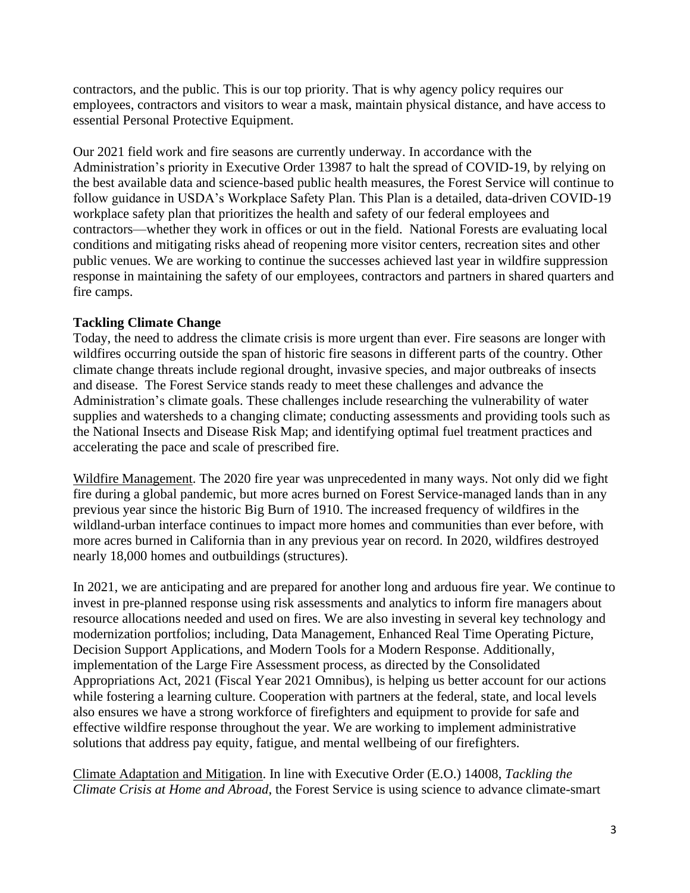contractors, and the public. This is our top priority. That is why agency policy requires our employees, contractors and visitors to wear a mask, maintain physical distance, and have access to essential Personal Protective Equipment.

Our 2021 field work and fire seasons are currently underway. In accordance with the Administration's priority in Executive Order 13987 to halt the spread of COVID-19, by relying on the best available data and science-based public health measures, the Forest Service will continue to follow guidance in USDA's Workplace Safety Plan. This Plan is a detailed, data-driven COVID-19 workplace safety plan that prioritizes the health and safety of our federal employees and contractors—whether they work in offices or out in the field. National Forests are evaluating local conditions and mitigating risks ahead of reopening more visitor centers, recreation sites and other public venues. We are working to continue the successes achieved last year in wildfire suppression response in maintaining the safety of our employees, contractors and partners in shared quarters and fire camps.

# **Tackling Climate Change**

Today, the need to address the climate crisis is more urgent than ever. Fire seasons are longer with wildfires occurring outside the span of historic fire seasons in different parts of the country. Other climate change threats include regional drought, invasive species, and major outbreaks of insects and disease. The Forest Service stands ready to meet these challenges and advance the Administration's climate goals. These challenges include researching the vulnerability of water supplies and watersheds to a changing climate; conducting assessments and providing tools such as the National Insects and Disease Risk Map; and identifying optimal fuel treatment practices and accelerating the pace and scale of prescribed fire.

Wildfire Management. The 2020 fire year was unprecedented in many ways. Not only did we fight fire during a global pandemic, but more acres burned on Forest Service-managed lands than in any previous year since the historic Big Burn of 1910. The increased frequency of wildfires in the wildland-urban interface continues to impact more homes and communities than ever before, with more acres burned in California than in any previous year on record. In 2020, wildfires destroyed nearly 18,000 homes and outbuildings (structures).

In 2021, we are anticipating and are prepared for another long and arduous fire year. We continue to invest in pre-planned response using risk assessments and analytics to inform fire managers about resource allocations needed and used on fires. We are also investing in several key technology and modernization portfolios; including, Data Management, Enhanced Real Time Operating Picture, Decision Support Applications, and Modern Tools for a Modern Response. Additionally, implementation of the Large Fire Assessment process, as directed by the Consolidated Appropriations Act, 2021 (Fiscal Year 2021 Omnibus), is helping us better account for our actions while fostering a learning culture. Cooperation with partners at the federal, state, and local levels also ensures we have a strong workforce of firefighters and equipment to provide for safe and effective wildfire response throughout the year. We are working to implement administrative solutions that address pay equity, fatigue, and mental wellbeing of our firefighters.

Climate Adaptation and Mitigation. In line with Executive Order (E.O.) 14008, *Tackling the Climate Crisis at Home and Abroad*, the Forest Service is using science to advance climate-smart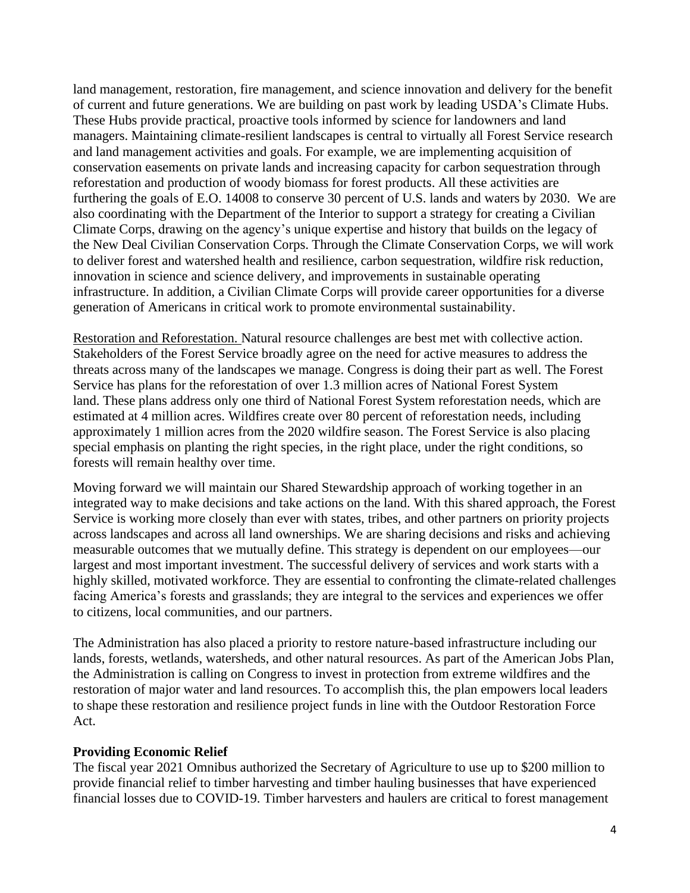land management, restoration, fire management, and science innovation and delivery for the benefit of current and future generations. We are building on past work by leading USDA's Climate Hubs. These Hubs provide practical, proactive tools informed by science for landowners and land managers. Maintaining climate-resilient landscapes is central to virtually all Forest Service research and land management activities and goals. For example, we are implementing acquisition of conservation easements on private lands and increasing capacity for carbon sequestration through reforestation and production of woody biomass for forest products. All these activities are furthering the goals of E.O. 14008 to conserve 30 percent of U.S. lands and waters by 2030. We are also coordinating with the Department of the Interior to support a strategy for creating a Civilian Climate Corps, drawing on the agency's unique expertise and history that builds on the legacy of the New Deal Civilian Conservation Corps. Through the Climate Conservation Corps, we will work to deliver forest and watershed health and resilience, carbon sequestration, wildfire risk reduction, innovation in science and science delivery, and improvements in sustainable operating infrastructure. In addition, a Civilian Climate Corps will provide career opportunities for a diverse generation of Americans in critical work to promote environmental sustainability.

Restoration and Reforestation. Natural resource challenges are best met with collective action. Stakeholders of the Forest Service broadly agree on the need for active measures to address the threats across many of the landscapes we manage. Congress is doing their part as well. The Forest Service has plans for the reforestation of over 1.3 million acres of National Forest System land. These plans address only one third of National Forest System reforestation needs, which are estimated at 4 million acres. Wildfires create over 80 percent of reforestation needs, including approximately 1 million acres from the 2020 wildfire season. The Forest Service is also placing special emphasis on planting the right species, in the right place, under the right conditions, so forests will remain healthy over time.

Moving forward we will maintain our Shared Stewardship approach of working together in an integrated way to make decisions and take actions on the land. With this shared approach, the Forest Service is working more closely than ever with states, tribes, and other partners on priority projects across landscapes and across all land ownerships. We are sharing decisions and risks and achieving measurable outcomes that we mutually define. This strategy is dependent on our employees—our largest and most important investment. The successful delivery of services and work starts with a highly skilled, motivated workforce. They are essential to confronting the climate-related challenges facing America's forests and grasslands; they are integral to the services and experiences we offer to citizens, local communities, and our partners.

The Administration has also placed a priority to restore nature-based infrastructure including our lands, forests, wetlands, watersheds, and other natural resources. As part of the American Jobs Plan, the Administration is calling on Congress to invest in protection from extreme wildfires and the restoration of major water and land resources. To accomplish this, the plan empowers local leaders to shape these restoration and resilience project funds in line with the Outdoor Restoration Force Act.

#### **Providing Economic Relief**

The fiscal year 2021 Omnibus authorized the Secretary of Agriculture to use up to \$200 million to provide financial relief to timber harvesting and timber hauling businesses that have experienced financial losses due to COVID-19. Timber harvesters and haulers are critical to forest management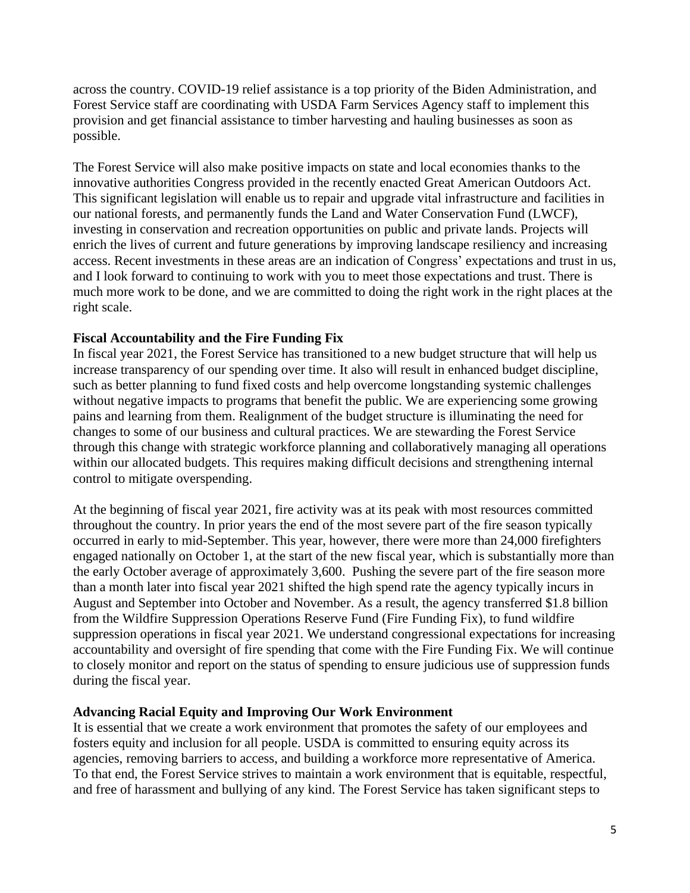across the country. COVID-19 relief assistance is a top priority of the Biden Administration, and Forest Service staff are coordinating with USDA Farm Services Agency staff to implement this provision and get financial assistance to timber harvesting and hauling businesses as soon as possible.

The Forest Service will also make positive impacts on state and local economies thanks to the innovative authorities Congress provided in the recently enacted Great American Outdoors Act. This significant legislation will enable us to repair and upgrade vital infrastructure and facilities in our national forests, and permanently funds the Land and Water Conservation Fund (LWCF), investing in conservation and recreation opportunities on public and private lands. Projects will enrich the lives of current and future generations by improving landscape resiliency and increasing access. Recent investments in these areas are an indication of Congress' expectations and trust in us, and I look forward to continuing to work with you to meet those expectations and trust. There is much more work to be done, and we are committed to doing the right work in the right places at the right scale.

### **Fiscal Accountability and the Fire Funding Fix**

In fiscal year 2021, the Forest Service has transitioned to a new budget structure that will help us increase transparency of our spending over time. It also will result in enhanced budget discipline, such as better planning to fund fixed costs and help overcome longstanding systemic challenges without negative impacts to programs that benefit the public. We are experiencing some growing pains and learning from them. Realignment of the budget structure is illuminating the need for changes to some of our business and cultural practices. We are stewarding the Forest Service through this change with strategic workforce planning and collaboratively managing all operations within our allocated budgets. This requires making difficult decisions and strengthening internal control to mitigate overspending.

At the beginning of fiscal year 2021, fire activity was at its peak with most resources committed throughout the country. In prior years the end of the most severe part of the fire season typically occurred in early to mid-September. This year, however, there were more than 24,000 firefighters engaged nationally on October 1, at the start of the new fiscal year, which is substantially more than the early October average of approximately 3,600. Pushing the severe part of the fire season more than a month later into fiscal year 2021 shifted the high spend rate the agency typically incurs in August and September into October and November. As a result, the agency transferred \$1.8 billion from the Wildfire Suppression Operations Reserve Fund (Fire Funding Fix), to fund wildfire suppression operations in fiscal year 2021. We understand congressional expectations for increasing accountability and oversight of fire spending that come with the Fire Funding Fix. We will continue to closely monitor and report on the status of spending to ensure judicious use of suppression funds during the fiscal year.

#### **Advancing Racial Equity and Improving Our Work Environment**

It is essential that we create a work environment that promotes the safety of our employees and fosters equity and inclusion for all people. USDA is committed to ensuring equity across its agencies, removing barriers to access, and building a workforce more representative of America. To that end, the Forest Service strives to maintain a work environment that is equitable, respectful, and free of harassment and bullying of any kind. The Forest Service has taken significant steps to